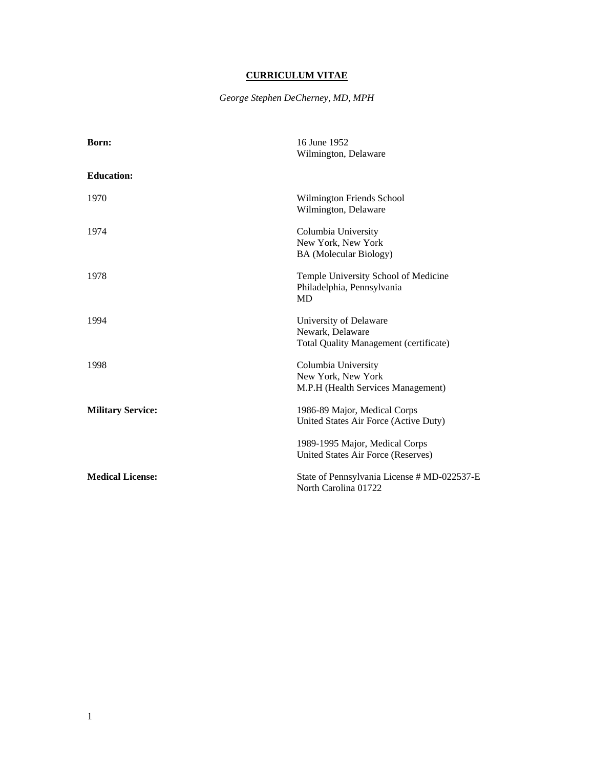# **CURRICULUM VITAE**

*George Stephen DeCherney, MD, MPH* 

| Born:                    | 16 June 1952                                  |
|--------------------------|-----------------------------------------------|
|                          | Wilmington, Delaware                          |
| <b>Education:</b>        |                                               |
| 1970                     | Wilmington Friends School                     |
|                          | Wilmington, Delaware                          |
| 1974                     | Columbia University                           |
|                          | New York, New York                            |
|                          | <b>BA</b> (Molecular Biology)                 |
| 1978                     | Temple University School of Medicine          |
|                          | Philadelphia, Pennsylvania                    |
|                          | <b>MD</b>                                     |
| 1994                     | University of Delaware                        |
|                          | Newark, Delaware                              |
|                          | <b>Total Quality Management (certificate)</b> |
| 1998                     | Columbia University                           |
|                          | New York, New York                            |
|                          | M.P.H (Health Services Management)            |
| <b>Military Service:</b> | 1986-89 Major, Medical Corps                  |
|                          | United States Air Force (Active Duty)         |
|                          | 1989-1995 Major, Medical Corps                |
|                          | United States Air Force (Reserves)            |
| <b>Medical License:</b>  | State of Pennsylvania License # MD-022537-E   |
|                          | North Carolina 01722                          |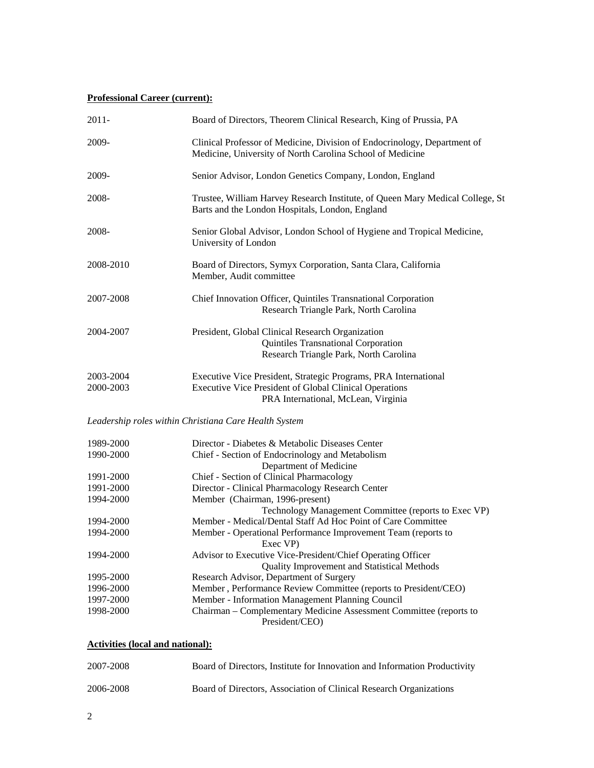### **Professional Career (current):**

| $2011 -$  | Board of Directors, Theorem Clinical Research, King of Prussia, PA                                                                    |
|-----------|---------------------------------------------------------------------------------------------------------------------------------------|
| 2009-     | Clinical Professor of Medicine, Division of Endocrinology, Department of<br>Medicine, University of North Carolina School of Medicine |
| 2009-     | Senior Advisor, London Genetics Company, London, England                                                                              |
| 2008-     | Trustee, William Harvey Research Institute, of Queen Mary Medical College, St<br>Barts and the London Hospitals, London, England      |
| 2008-     | Senior Global Advisor, London School of Hygiene and Tropical Medicine,<br>University of London                                        |
| 2008-2010 | Board of Directors, Symyx Corporation, Santa Clara, California<br>Member, Audit committee                                             |
| 2007-2008 | Chief Innovation Officer, Quintiles Transnational Corporation<br>Research Triangle Park, North Carolina                               |
| 2004-2007 | President, Global Clinical Research Organization<br>Quintiles Transnational Corporation<br>Research Triangle Park, North Carolina     |
| 2003-2004 | Executive Vice President, Strategic Programs, PRA International                                                                       |
| 2000-2003 | <b>Executive Vice President of Global Clinical Operations</b><br>PRA International, McLean, Virginia                                  |
|           | Leadership roles within Christiana Care Health System                                                                                 |
| 1989-2000 | Director - Diabetes & Metabolic Diseases Center                                                                                       |
| 1990-2000 | Chief - Section of Endocrinology and Metabolism                                                                                       |
| 1991-2000 | Department of Medicine<br>Chief - Section of Clinical Pharmacology                                                                    |
| 1991-2000 | Director - Clinical Pharmacology Research Center                                                                                      |
| 1994-2000 | Member (Chairman, 1996-present)                                                                                                       |
|           | Technology Management Committee (reports to Exec VP)                                                                                  |
| 1994-2000 | Member - Medical/Dental Staff Ad Hoc Point of Care Committee                                                                          |
| 1994-2000 | Member - Operational Performance Improvement Team (reports to<br>Exec VP)                                                             |
| 1994-2000 | Advisor to Executive Vice-President/Chief Operating Officer<br>Quality Improvement and Statistical Methods                            |
| 1995-2000 | Research Advisor, Department of Surgery                                                                                               |
| 1996-2000 | Member, Performance Review Committee (reports to President/CEO)                                                                       |
| 1997-2000 | Member - Information Management Planning Council                                                                                      |
| 1998-2000 | Chairman - Complementary Medicine Assessment Committee (reports to<br>President/CEO)                                                  |
|           |                                                                                                                                       |

| <b>Activities (local and national):</b> |  |  |
|-----------------------------------------|--|--|
|                                         |  |  |

| 2007-2008 | Board of Directors, Institute for Innovation and Information Productivity |
|-----------|---------------------------------------------------------------------------|
| 2006-2008 | Board of Directors, Association of Clinical Research Organizations        |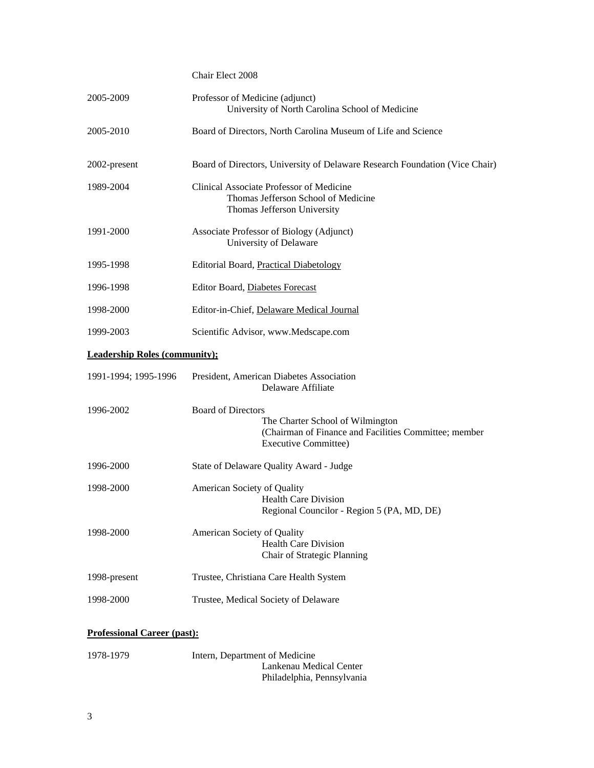## Chair Elect 2008

| 2005-2009                            | Professor of Medicine (adjunct)<br>University of North Carolina School of Medicine                                                                    |  |
|--------------------------------------|-------------------------------------------------------------------------------------------------------------------------------------------------------|--|
| 2005-2010                            | Board of Directors, North Carolina Museum of Life and Science                                                                                         |  |
| 2002-present                         | Board of Directors, University of Delaware Research Foundation (Vice Chair)                                                                           |  |
| 1989-2004                            | Clinical Associate Professor of Medicine<br>Thomas Jefferson School of Medicine<br>Thomas Jefferson University                                        |  |
| 1991-2000                            | Associate Professor of Biology (Adjunct)<br>University of Delaware                                                                                    |  |
| 1995-1998                            | Editorial Board, Practical Diabetology                                                                                                                |  |
| 1996-1998                            | Editor Board, Diabetes Forecast                                                                                                                       |  |
| 1998-2000                            | Editor-in-Chief, Delaware Medical Journal                                                                                                             |  |
| 1999-2003                            | Scientific Advisor, www.Medscape.com                                                                                                                  |  |
| <b>Leadership Roles (community);</b> |                                                                                                                                                       |  |
| 1991-1994; 1995-1996                 | President, American Diabetes Association<br>Delaware Affiliate                                                                                        |  |
| 1996-2002                            | <b>Board of Directors</b><br>The Charter School of Wilmington<br>(Chairman of Finance and Facilities Committee; member<br><b>Executive Committee)</b> |  |
| 1996-2000                            | State of Delaware Quality Award - Judge                                                                                                               |  |
| 1998-2000                            | American Society of Quality<br><b>Health Care Division</b><br>Regional Councilor - Region 5 (PA, MD, DE)                                              |  |
| 1998-2000                            | American Society of Quality<br><b>Health Care Division</b><br>Chair of Strategic Planning                                                             |  |
| 1998-present                         | Trustee, Christiana Care Health System                                                                                                                |  |
| 1998-2000                            | Trustee, Medical Society of Delaware                                                                                                                  |  |

### **Professional Career (past):**

| 1978-1979 | Intern, Department of Medicine |
|-----------|--------------------------------|
|           | Lankenau Medical Center        |
|           | Philadelphia, Pennsylvania     |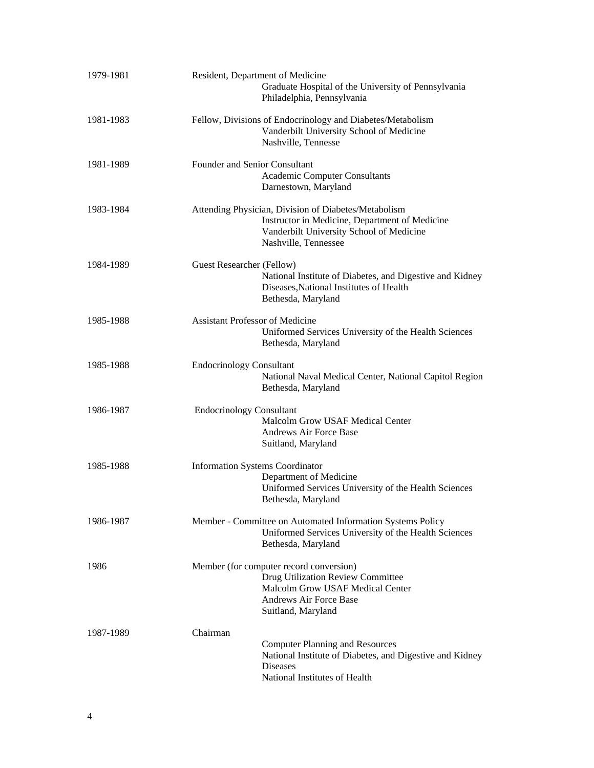| 1979-1981 | Resident, Department of Medicine<br>Graduate Hospital of the University of Pennsylvania<br>Philadelphia, Pennsylvania                                                      |
|-----------|----------------------------------------------------------------------------------------------------------------------------------------------------------------------------|
| 1981-1983 | Fellow, Divisions of Endocrinology and Diabetes/Metabolism<br>Vanderbilt University School of Medicine<br>Nashville, Tennesse                                              |
| 1981-1989 | Founder and Senior Consultant<br><b>Academic Computer Consultants</b><br>Darnestown, Maryland                                                                              |
| 1983-1984 | Attending Physician, Division of Diabetes/Metabolism<br>Instructor in Medicine, Department of Medicine<br>Vanderbilt University School of Medicine<br>Nashville, Tennessee |
| 1984-1989 | Guest Researcher (Fellow)<br>National Institute of Diabetes, and Digestive and Kidney<br>Diseases, National Institutes of Health<br>Bethesda, Maryland                     |
| 1985-1988 | <b>Assistant Professor of Medicine</b><br>Uniformed Services University of the Health Sciences<br>Bethesda, Maryland                                                       |
| 1985-1988 | <b>Endocrinology Consultant</b><br>National Naval Medical Center, National Capitol Region<br>Bethesda, Maryland                                                            |
| 1986-1987 | <b>Endocrinology Consultant</b><br>Malcolm Grow USAF Medical Center<br>Andrews Air Force Base<br>Suitland, Maryland                                                        |
| 1985-1988 | <b>Information Systems Coordinator</b><br>Department of Medicine<br>Uniformed Services University of the Health Sciences<br>Bethesda, Maryland                             |
| 1986-1987 | Member - Committee on Automated Information Systems Policy<br>Uniformed Services University of the Health Sciences<br>Bethesda, Maryland                                   |
| 1986      | Member (for computer record conversion)<br>Drug Utilization Review Committee<br>Malcolm Grow USAF Medical Center<br><b>Andrews Air Force Base</b><br>Suitland, Maryland    |
| 1987-1989 | Chairman<br><b>Computer Planning and Resources</b><br>National Institute of Diabetes, and Digestive and Kidney<br><b>Diseases</b><br>National Institutes of Health         |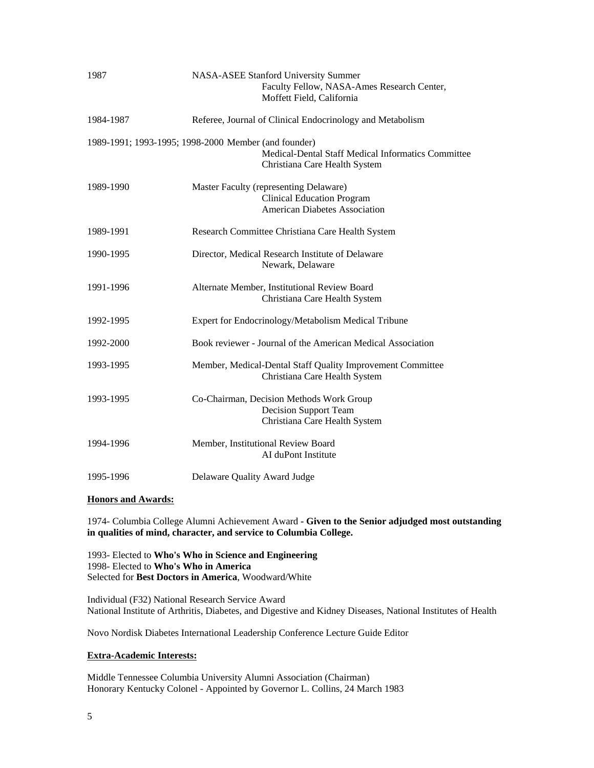| 1987      | NASA-ASEE Stanford University Summer<br>Faculty Fellow, NASA-Ames Research Center,<br>Moffett Field, California                             |
|-----------|---------------------------------------------------------------------------------------------------------------------------------------------|
| 1984-1987 | Referee, Journal of Clinical Endocrinology and Metabolism                                                                                   |
|           | 1989-1991; 1993-1995; 1998-2000 Member (and founder)<br>Medical-Dental Staff Medical Informatics Committee<br>Christiana Care Health System |
| 1989-1990 | Master Faculty (representing Delaware)<br><b>Clinical Education Program</b><br><b>American Diabetes Association</b>                         |
| 1989-1991 | Research Committee Christiana Care Health System                                                                                            |
| 1990-1995 | Director, Medical Research Institute of Delaware<br>Newark, Delaware                                                                        |
| 1991-1996 | Alternate Member, Institutional Review Board<br>Christiana Care Health System                                                               |
| 1992-1995 | Expert for Endocrinology/Metabolism Medical Tribune                                                                                         |
| 1992-2000 | Book reviewer - Journal of the American Medical Association                                                                                 |
| 1993-1995 | Member, Medical-Dental Staff Quality Improvement Committee<br>Christiana Care Health System                                                 |
| 1993-1995 | Co-Chairman, Decision Methods Work Group<br><b>Decision Support Team</b><br>Christiana Care Health System                                   |
| 1994-1996 | Member, Institutional Review Board<br>AI duPont Institute                                                                                   |
| 1995-1996 | Delaware Quality Award Judge                                                                                                                |

#### **Honors and Awards:**

1974- Columbia College Alumni Achievement Award **- Given to the Senior adjudged most outstanding in qualities of mind, character, and service to Columbia College.** 

1993- Elected to **Who's Who in Science and Engineering** 1998- Elected to **Who's Who in America** Selected for **Best Doctors in America**, Woodward/White

Individual (F32) National Research Service Award National Institute of Arthritis, Diabetes, and Digestive and Kidney Diseases, National Institutes of Health

Novo Nordisk Diabetes International Leadership Conference Lecture Guide Editor

#### **Extra-Academic Interests:**

Middle Tennessee Columbia University Alumni Association (Chairman) Honorary Kentucky Colonel - Appointed by Governor L. Collins, 24 March 1983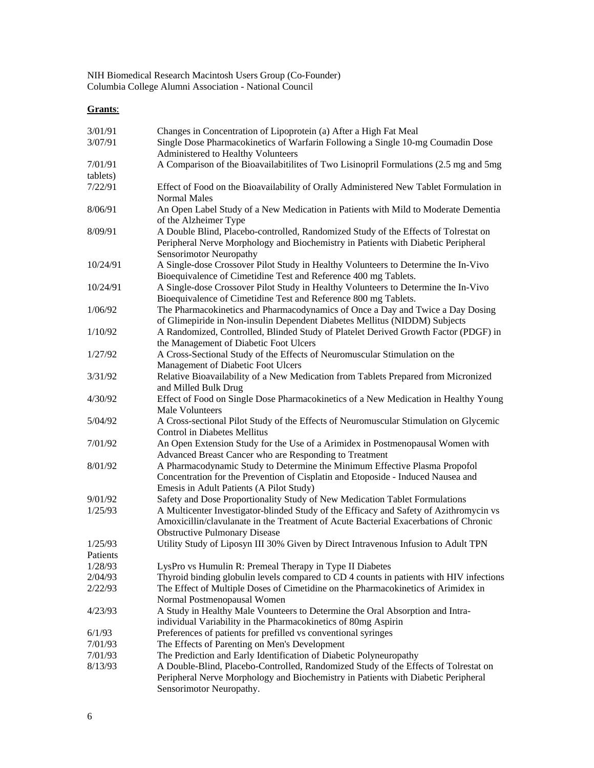NIH Biomedical Research Macintosh Users Group (Co-Founder) Columbia College Alumni Association - National Council

# **Grants**:

| 3/01/91<br>3/07/91  | Changes in Concentration of Lipoprotein (a) After a High Fat Meal<br>Single Dose Pharmacokinetics of Warfarin Following a Single 10-mg Coumadin Dose<br>Administered to Healthy Volunteers                             |
|---------------------|------------------------------------------------------------------------------------------------------------------------------------------------------------------------------------------------------------------------|
| 7/01/91             | A Comparison of the Bioavailabitilities of Two Lisinopril Formulations (2.5 mg and 5mg                                                                                                                                 |
| tablets)<br>7/22/91 | Effect of Food on the Bioavailability of Orally Administered New Tablet Formulation in                                                                                                                                 |
| 8/06/91             | <b>Normal Males</b><br>An Open Label Study of a New Medication in Patients with Mild to Moderate Dementia<br>of the Alzheimer Type                                                                                     |
| 8/09/91             | A Double Blind, Placebo-controlled, Randomized Study of the Effects of Tolrestat on<br>Peripheral Nerve Morphology and Biochemistry in Patients with Diabetic Peripheral<br>Sensorimotor Neuropathy                    |
| 10/24/91            | A Single-dose Crossover Pilot Study in Healthy Volunteers to Determine the In-Vivo<br>Bioequivalence of Cimetidine Test and Reference 400 mg Tablets.                                                                  |
| 10/24/91            | A Single-dose Crossover Pilot Study in Healthy Volunteers to Determine the In-Vivo<br>Bioequivalence of Cimetidine Test and Reference 800 mg Tablets.                                                                  |
| 1/06/92             | The Pharmacokinetics and Pharmacodynamics of Once a Day and Twice a Day Dosing<br>of Glimepiride in Non-insulin Dependent Diabetes Mellitus (NIDDM) Subjects                                                           |
| 1/10/92             | A Randomized, Controlled, Blinded Study of Platelet Derived Growth Factor (PDGF) in<br>the Management of Diabetic Foot Ulcers                                                                                          |
| 1/27/92             | A Cross-Sectional Study of the Effects of Neuromuscular Stimulation on the<br>Management of Diabetic Foot Ulcers                                                                                                       |
| 3/31/92             | Relative Bioavailability of a New Medication from Tablets Prepared from Micronized<br>and Milled Bulk Drug                                                                                                             |
| 4/30/92             | Effect of Food on Single Dose Pharmacokinetics of a New Medication in Healthy Young<br>Male Volunteers                                                                                                                 |
| 5/04/92             | A Cross-sectional Pilot Study of the Effects of Neuromuscular Stimulation on Glycemic<br>Control in Diabetes Mellitus                                                                                                  |
| 7/01/92             | An Open Extension Study for the Use of a Arimidex in Postmenopausal Women with<br>Advanced Breast Cancer who are Responding to Treatment                                                                               |
| 8/01/92             | A Pharmacodynamic Study to Determine the Minimum Effective Plasma Propofol<br>Concentration for the Prevention of Cisplatin and Etoposide - Induced Nausea and<br>Emesis in Adult Patients (A Pilot Study)             |
| 9/01/92             | Safety and Dose Proportionality Study of New Medication Tablet Formulations                                                                                                                                            |
| 1/25/93             | A Multicenter Investigator-blinded Study of the Efficacy and Safety of Azithromycin vs<br>Amoxicillin/clavulanate in the Treatment of Acute Bacterial Exacerbations of Chronic<br><b>Obstructive Pulmonary Disease</b> |
| 1/25/93             | Utility Study of Liposyn III 30% Given by Direct Intravenous Infusion to Adult TPN                                                                                                                                     |
| Patients            |                                                                                                                                                                                                                        |
| 1/28/93             | LysPro vs Humulin R: Premeal Therapy in Type II Diabetes                                                                                                                                                               |
| 2/04/93             | Thyroid binding globulin levels compared to CD 4 counts in patients with HIV infections                                                                                                                                |
| 2/22/93             | The Effect of Multiple Doses of Cimetidine on the Pharmacokinetics of Arimidex in<br>Normal Postmenopausal Women                                                                                                       |
| 4/23/93             | A Study in Healthy Male Vounteers to Determine the Oral Absorption and Intra-<br>individual Variability in the Pharmacokinetics of 80mg Aspirin                                                                        |
| 6/1/93              | Preferences of patients for prefilled vs conventional syringes                                                                                                                                                         |
| 7/01/93             | The Effects of Parenting on Men's Development                                                                                                                                                                          |
| 7/01/93             | The Prediction and Early Identification of Diabetic Polyneuropathy                                                                                                                                                     |
| 8/13/93             | A Double-Blind, Placebo-Controlled, Randomized Study of the Effects of Tolrestat on<br>Peripheral Nerve Morphology and Biochemistry in Patients with Diabetic Peripheral<br>Sensorimotor Neuropathy.                   |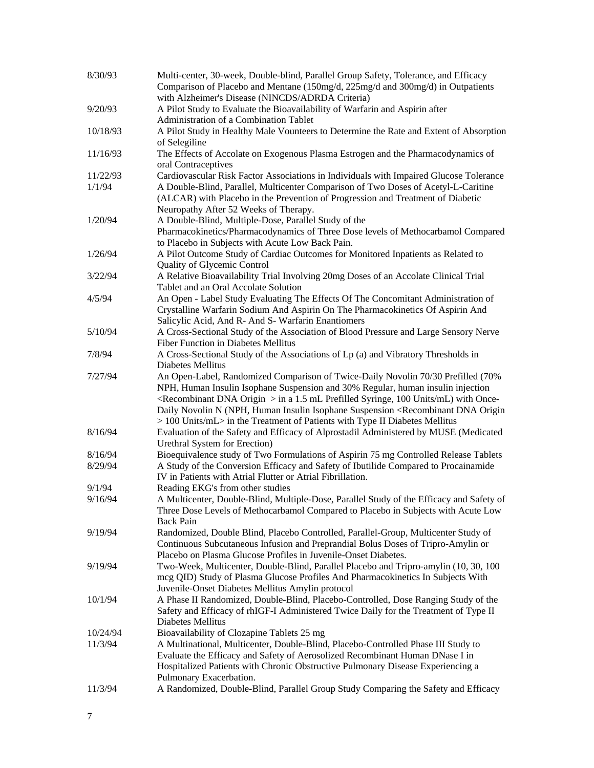| 8/30/93  | Multi-center, 30-week, Double-blind, Parallel Group Safety, Tolerance, and Efficacy<br>Comparison of Placebo and Mentane (150mg/d, 225mg/d and 300mg/d) in Outpatients                                                                                                                                                                                                               |
|----------|--------------------------------------------------------------------------------------------------------------------------------------------------------------------------------------------------------------------------------------------------------------------------------------------------------------------------------------------------------------------------------------|
|          | with Alzheimer's Disease (NINCDS/ADRDA Criteria)                                                                                                                                                                                                                                                                                                                                     |
| 9/20/93  | A Pilot Study to Evaluate the Bioavailability of Warfarin and Aspirin after                                                                                                                                                                                                                                                                                                          |
|          | Administration of a Combination Tablet                                                                                                                                                                                                                                                                                                                                               |
| 10/18/93 | A Pilot Study in Healthy Male Vounteers to Determine the Rate and Extent of Absorption<br>of Selegiline                                                                                                                                                                                                                                                                              |
| 11/16/93 | The Effects of Accolate on Exogenous Plasma Estrogen and the Pharmacodynamics of                                                                                                                                                                                                                                                                                                     |
|          | oral Contraceptives                                                                                                                                                                                                                                                                                                                                                                  |
| 11/22/93 | Cardiovascular Risk Factor Associations in Individuals with Impaired Glucose Tolerance                                                                                                                                                                                                                                                                                               |
| 1/1/94   | A Double-Blind, Parallel, Multicenter Comparison of Two Doses of Acetyl-L-Caritine<br>(ALCAR) with Placebo in the Prevention of Progression and Treatment of Diabetic                                                                                                                                                                                                                |
|          | Neuropathy After 52 Weeks of Therapy.                                                                                                                                                                                                                                                                                                                                                |
| 1/20/94  | A Double-Blind, Multiple-Dose, Parallel Study of the                                                                                                                                                                                                                                                                                                                                 |
|          | Pharmacokinetics/Pharmacodynamics of Three Dose levels of Methocarbamol Compared<br>to Placebo in Subjects with Acute Low Back Pain.                                                                                                                                                                                                                                                 |
| 1/26/94  | A Pilot Outcome Study of Cardiac Outcomes for Monitored Inpatients as Related to                                                                                                                                                                                                                                                                                                     |
|          | Quality of Glycemic Control                                                                                                                                                                                                                                                                                                                                                          |
| 3/22/94  | A Relative Bioavailability Trial Involving 20mg Doses of an Accolate Clinical Trial                                                                                                                                                                                                                                                                                                  |
|          | Tablet and an Oral Accolate Solution                                                                                                                                                                                                                                                                                                                                                 |
| 4/5/94   | An Open - Label Study Evaluating The Effects Of The Concomitant Administration of<br>Crystalline Warfarin Sodium And Aspirin On The Pharmacokinetics Of Aspirin And                                                                                                                                                                                                                  |
| 5/10/94  | Salicylic Acid, And R- And S- Warfarin Enantiomers<br>A Cross-Sectional Study of the Association of Blood Pressure and Large Sensory Nerve                                                                                                                                                                                                                                           |
|          | Fiber Function in Diabetes Mellitus                                                                                                                                                                                                                                                                                                                                                  |
|          |                                                                                                                                                                                                                                                                                                                                                                                      |
| 7/8/94   | A Cross-Sectional Study of the Associations of Lp (a) and Vibratory Thresholds in                                                                                                                                                                                                                                                                                                    |
| 7/27/94  | Diabetes Mellitus<br>An Open-Label, Randomized Comparison of Twice-Daily Novolin 70/30 Prefilled (70%                                                                                                                                                                                                                                                                                |
|          | NPH, Human Insulin Isophane Suspension and 30% Regular, human insulin injection<br><recombinant dna="" origin=""> in a 1.5 mL Prefilled Syringe, 100 Units/mL) with Once-<br/>Daily Novolin N (NPH, Human Insulin Isophane Suspension <recombinant dna="" origin<br="">&gt; 100 Units/mL&gt; in the Treatment of Patients with Type II Diabetes Mellitus</recombinant></recombinant> |
| 8/16/94  | Evaluation of the Safety and Efficacy of Alprostadil Administered by MUSE (Medicated<br>Urethral System for Erection)                                                                                                                                                                                                                                                                |
| 8/16/94  | Bioequivalence study of Two Formulations of Aspirin 75 mg Controlled Release Tablets                                                                                                                                                                                                                                                                                                 |
| 8/29/94  | A Study of the Conversion Efficacy and Safety of Ibutilide Compared to Procainamide<br>IV in Patients with Atrial Flutter or Atrial Fibrillation.                                                                                                                                                                                                                                    |
| 9/1/94   | Reading EKG's from other studies                                                                                                                                                                                                                                                                                                                                                     |
| 9/16/94  | A Multicenter, Double-Blind, Multiple-Dose, Parallel Study of the Efficacy and Safety of<br>Three Dose Levels of Methocarbamol Compared to Placebo in Subjects with Acute Low<br><b>Back Pain</b>                                                                                                                                                                                    |
| 9/19/94  | Randomized, Double Blind, Placebo Controlled, Parallel-Group, Multicenter Study of<br>Continuous Subcutaneous Infusion and Preprandial Bolus Doses of Tripro-Amylin or                                                                                                                                                                                                               |
|          | Placebo on Plasma Glucose Profiles in Juvenile-Onset Diabetes.                                                                                                                                                                                                                                                                                                                       |
| 9/19/94  | Two-Week, Multicenter, Double-Blind, Parallel Placebo and Tripro-amylin (10, 30, 100)                                                                                                                                                                                                                                                                                                |
|          | mcg QID) Study of Plasma Glucose Profiles And Pharmacokinetics In Subjects With                                                                                                                                                                                                                                                                                                      |
|          | Juvenile-Onset Diabetes Mellitus Amylin protocol                                                                                                                                                                                                                                                                                                                                     |
| 10/1/94  | A Phase II Randomized, Double-Blind, Placebo-Controlled, Dose Ranging Study of the<br>Safety and Efficacy of rhIGF-I Administered Twice Daily for the Treatment of Type II                                                                                                                                                                                                           |
|          | Diabetes Mellitus                                                                                                                                                                                                                                                                                                                                                                    |
| 10/24/94 | Bioavailability of Clozapine Tablets 25 mg                                                                                                                                                                                                                                                                                                                                           |
| 11/3/94  | A Multinational, Multicenter, Double-Blind, Placebo-Controlled Phase III Study to                                                                                                                                                                                                                                                                                                    |
|          | Evaluate the Efficacy and Safety of Aerosolized Recombinant Human DNase I in<br>Hospitalized Patients with Chronic Obstructive Pulmonary Disease Experiencing a<br>Pulmonary Exacerbation.                                                                                                                                                                                           |
| 11/3/94  | A Randomized, Double-Blind, Parallel Group Study Comparing the Safety and Efficacy                                                                                                                                                                                                                                                                                                   |
|          |                                                                                                                                                                                                                                                                                                                                                                                      |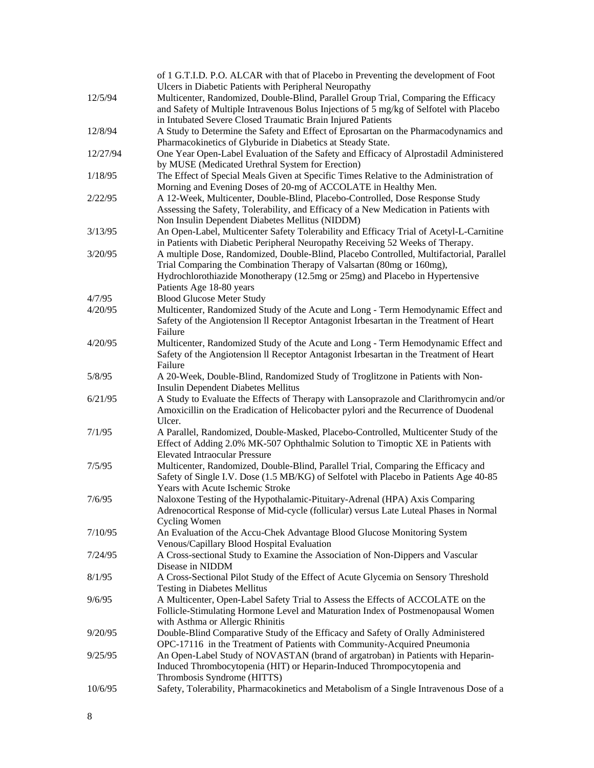| 12/5/94  | of 1 G.T.I.D. P.O. ALCAR with that of Placebo in Preventing the development of Foot<br>Ulcers in Diabetic Patients with Peripheral Neuropathy<br>Multicenter, Randomized, Double-Blind, Parallel Group Trial, Comparing the Efficacy<br>and Safety of Multiple Intravenous Bolus Injections of 5 mg/kg of Selfotel with Placebo<br>in Intubated Severe Closed Traumatic Brain Injured Patients |
|----------|------------------------------------------------------------------------------------------------------------------------------------------------------------------------------------------------------------------------------------------------------------------------------------------------------------------------------------------------------------------------------------------------|
| 12/8/94  | A Study to Determine the Safety and Effect of Eprosartan on the Pharmacodynamics and<br>Pharmacokinetics of Glyburide in Diabetics at Steady State.                                                                                                                                                                                                                                            |
| 12/27/94 | One Year Open-Label Evaluation of the Safety and Efficacy of Alprostadil Administered<br>by MUSE (Medicated Urethral System for Erection)                                                                                                                                                                                                                                                      |
| 1/18/95  | The Effect of Special Meals Given at Specific Times Relative to the Administration of<br>Morning and Evening Doses of 20-mg of ACCOLATE in Healthy Men.                                                                                                                                                                                                                                        |
| 2/22/95  | A 12-Week, Multicenter, Double-Blind, Placebo-Controlled, Dose Response Study<br>Assessing the Safety, Tolerability, and Efficacy of a New Medication in Patients with<br>Non Insulin Dependent Diabetes Mellitus (NIDDM)                                                                                                                                                                      |
| 3/13/95  | An Open-Label, Multicenter Safety Tolerability and Efficacy Trial of Acetyl-L-Carnitine<br>in Patients with Diabetic Peripheral Neuropathy Receiving 52 Weeks of Therapy.                                                                                                                                                                                                                      |
| 3/20/95  | A multiple Dose, Randomized, Double-Blind, Placebo Controlled, Multifactorial, Parallel<br>Trial Comparing the Combination Therapy of Valsartan (80mg or 160mg),<br>Hydrochlorothiazide Monotherapy (12.5mg or 25mg) and Placebo in Hypertensive<br>Patients Age 18-80 years                                                                                                                   |
| 4/7/95   | <b>Blood Glucose Meter Study</b>                                                                                                                                                                                                                                                                                                                                                               |
| 4/20/95  | Multicenter, Randomized Study of the Acute and Long - Term Hemodynamic Effect and<br>Safety of the Angiotension II Receptor Antagonist Irbesartan in the Treatment of Heart<br>Failure                                                                                                                                                                                                         |
| 4/20/95  | Multicenter, Randomized Study of the Acute and Long - Term Hemodynamic Effect and<br>Safety of the Angiotension II Receptor Antagonist Irbesartan in the Treatment of Heart<br>Failure                                                                                                                                                                                                         |
| 5/8/95   | A 20-Week, Double-Blind, Randomized Study of Troglitzone in Patients with Non-<br><b>Insulin Dependent Diabetes Mellitus</b>                                                                                                                                                                                                                                                                   |
| 6/21/95  | A Study to Evaluate the Effects of Therapy with Lansoprazole and Clarithromycin and/or<br>Amoxicillin on the Eradication of Helicobacter pylori and the Recurrence of Duodenal<br>Ulcer.                                                                                                                                                                                                       |
| 7/1/95   | A Parallel, Randomized, Double-Masked, Placebo-Controlled, Multicenter Study of the<br>Effect of Adding 2.0% MK-507 Ophthalmic Solution to Timoptic XE in Patients with<br><b>Elevated Intraocular Pressure</b>                                                                                                                                                                                |
| 7/5/95   | Multicenter, Randomized, Double-Blind, Parallel Trial, Comparing the Efficacy and<br>Safety of Single I.V. Dose (1.5 MB/KG) of Selfotel with Placebo in Patients Age 40-85<br>Years with Acute Ischemic Stroke                                                                                                                                                                                 |
| 7/6/95   | Naloxone Testing of the Hypothalamic-Pituitary-Adrenal (HPA) Axis Comparing<br>Adrenocortical Response of Mid-cycle (follicular) versus Late Luteal Phases in Normal                                                                                                                                                                                                                           |
| 7/10/95  | <b>Cycling Women</b><br>An Evaluation of the Accu-Chek Advantage Blood Glucose Monitoring System<br>Venous/Capillary Blood Hospital Evaluation                                                                                                                                                                                                                                                 |
| 7/24/95  | A Cross-sectional Study to Examine the Association of Non-Dippers and Vascular<br>Disease in NIDDM                                                                                                                                                                                                                                                                                             |
| 8/1/95   | A Cross-Sectional Pilot Study of the Effect of Acute Glycemia on Sensory Threshold<br><b>Testing in Diabetes Mellitus</b>                                                                                                                                                                                                                                                                      |
| 9/6/95   | A Multicenter, Open-Label Safety Trial to Assess the Effects of ACCOLATE on the<br>Follicle-Stimulating Hormone Level and Maturation Index of Postmenopausal Women<br>with Asthma or Allergic Rhinitis                                                                                                                                                                                         |
| 9/20/95  | Double-Blind Comparative Study of the Efficacy and Safety of Orally Administered<br>OPC-17116 in the Treatment of Patients with Community-Acquired Pneumonia                                                                                                                                                                                                                                   |
| 9/25/95  | An Open-Label Study of NOVASTAN (brand of argatroban) in Patients with Heparin-<br>Induced Thrombocytopenia (HIT) or Heparin-Induced Thrompocytopenia and<br>Thrombosis Syndrome (HITTS)                                                                                                                                                                                                       |
| 10/6/95  | Safety, Tolerability, Pharmacokinetics and Metabolism of a Single Intravenous Dose of a                                                                                                                                                                                                                                                                                                        |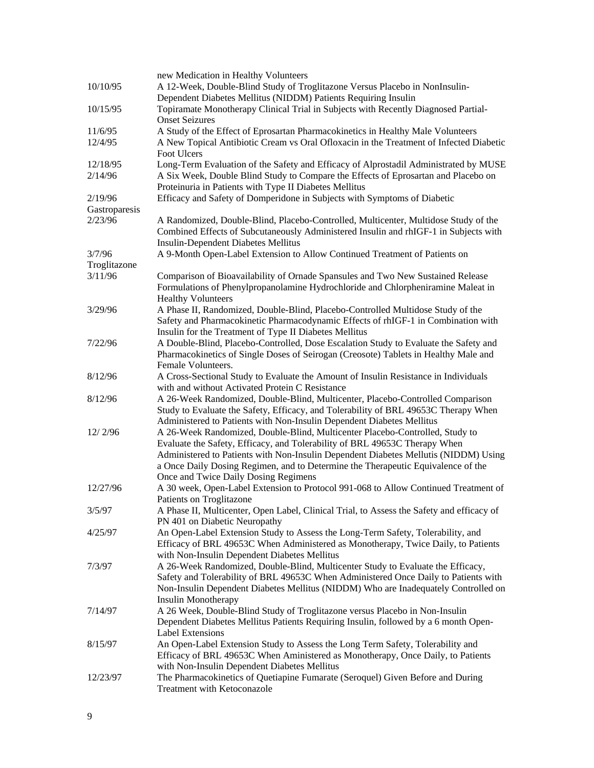|               | new Medication in Healthy Volunteers                                                                                                          |
|---------------|-----------------------------------------------------------------------------------------------------------------------------------------------|
| 10/10/95      | A 12-Week, Double-Blind Study of Troglitazone Versus Placebo in NonInsulin-<br>Dependent Diabetes Mellitus (NIDDM) Patients Requiring Insulin |
| 10/15/95      | Topiramate Monotherapy Clinical Trial in Subjects with Recently Diagnosed Partial-<br><b>Onset Seizures</b>                                   |
|               |                                                                                                                                               |
| 11/6/95       | A Study of the Effect of Eprosartan Pharmacokinetics in Healthy Male Volunteers                                                               |
| 12/4/95       | A New Topical Antibiotic Cream vs Oral Ofloxacin in the Treatment of Infected Diabetic<br>Foot Ulcers                                         |
| 12/18/95      | Long-Term Evaluation of the Safety and Efficacy of Alprostadil Administrated by MUSE                                                          |
| 2/14/96       | A Six Week, Double Blind Study to Compare the Effects of Eprosartan and Placebo on<br>Proteinuria in Patients with Type II Diabetes Mellitus  |
| 2/19/96       | Efficacy and Safety of Domperidone in Subjects with Symptoms of Diabetic                                                                      |
| Gastroparesis |                                                                                                                                               |
| 2/23/96       | A Randomized, Double-Blind, Placebo-Controlled, Multicenter, Multidose Study of the                                                           |
|               |                                                                                                                                               |
|               | Combined Effects of Subcutaneously Administered Insulin and rhIGF-1 in Subjects with<br><b>Insulin-Dependent Diabetes Mellitus</b>            |
| 3/7/96        | A 9-Month Open-Label Extension to Allow Continued Treatment of Patients on                                                                    |
| Troglitazone  |                                                                                                                                               |
| 3/11/96       | Comparison of Bioavailability of Ornade Spansules and Two New Sustained Release                                                               |
|               | Formulations of Phenylpropanolamine Hydrochloride and Chlorpheniramine Maleat in                                                              |
|               | <b>Healthy Volunteers</b>                                                                                                                     |
| 3/29/96       | A Phase II, Randomized, Double-Blind, Placebo-Controlled Multidose Study of the                                                               |
|               | Safety and Pharmacokinetic Pharmacodynamic Effects of rhIGF-1 in Combination with                                                             |
|               | Insulin for the Treatment of Type II Diabetes Mellitus                                                                                        |
| 7/22/96       | A Double-Blind, Placebo-Controlled, Dose Escalation Study to Evaluate the Safety and                                                          |
|               | Pharmacokinetics of Single Doses of Seirogan (Creosote) Tablets in Healthy Male and                                                           |
|               | Female Volunteers.                                                                                                                            |
| 8/12/96       |                                                                                                                                               |
|               | A Cross-Sectional Study to Evaluate the Amount of Insulin Resistance in Individuals                                                           |
|               | with and without Activated Protein C Resistance                                                                                               |
| 8/12/96       | A 26-Week Randomized, Double-Blind, Multicenter, Placebo-Controlled Comparison                                                                |
|               | Study to Evaluate the Safety, Efficacy, and Tolerability of BRL 49653C Therapy When                                                           |
|               | Administered to Patients with Non-Insulin Dependent Diabetes Mellitus                                                                         |
| 12/2/96       | A 26-Week Randomized, Double-Blind, Multicenter Placebo-Controlled, Study to                                                                  |
|               | Evaluate the Safety, Efficacy, and Tolerability of BRL 49653C Therapy When                                                                    |
|               | Administered to Patients with Non-Insulin Dependent Diabetes Mellutis (NIDDM) Using                                                           |
|               | a Once Daily Dosing Regimen, and to Determine the Therapeutic Equivalence of the                                                              |
|               | Once and Twice Daily Dosing Regimens                                                                                                          |
| 12/27/96      | A 30 week, Open-Label Extension to Protocol 991-068 to Allow Continued Treatment of                                                           |
|               | Patients on Troglitazone                                                                                                                      |
| 3/5/97        | A Phase II, Multicenter, Open Label, Clinical Trial, to Assess the Safety and efficacy of                                                     |
|               | PN 401 on Diabetic Neuropathy                                                                                                                 |
| 4/25/97       | An Open-Label Extension Study to Assess the Long-Term Safety, Tolerability, and                                                               |
|               | Efficacy of BRL 49653C When Administered as Monotherapy, Twice Daily, to Patients                                                             |
|               | with Non-Insulin Dependent Diabetes Mellitus                                                                                                  |
| 7/3/97        | A 26-Week Randomized, Double-Blind, Multicenter Study to Evaluate the Efficacy,                                                               |
|               | Safety and Tolerability of BRL 49653C When Administered Once Daily to Patients with                                                           |
|               | Non-Insulin Dependent Diabetes Mellitus (NIDDM) Who are Inadequately Controlled on                                                            |
|               | <b>Insulin Monotherapy</b>                                                                                                                    |
| 7/14/97       |                                                                                                                                               |
|               | A 26 Week, Double-Blind Study of Troglitazone versus Placebo in Non-Insulin                                                                   |
|               | Dependent Diabetes Mellitus Patients Requiring Insulin, followed by a 6 month Open-                                                           |
|               | <b>Label Extensions</b>                                                                                                                       |
| 8/15/97       | An Open-Label Extension Study to Assess the Long Term Safety, Tolerability and                                                                |
|               | Efficacy of BRL 49653C When Aministered as Monotherapy, Once Daily, to Patients                                                               |
|               | with Non-Insulin Dependent Diabetes Mellitus                                                                                                  |
| 12/23/97      | The Pharmacokinetics of Quetiapine Fumarate (Seroquel) Given Before and During                                                                |
|               | Treatment with Ketoconazole                                                                                                                   |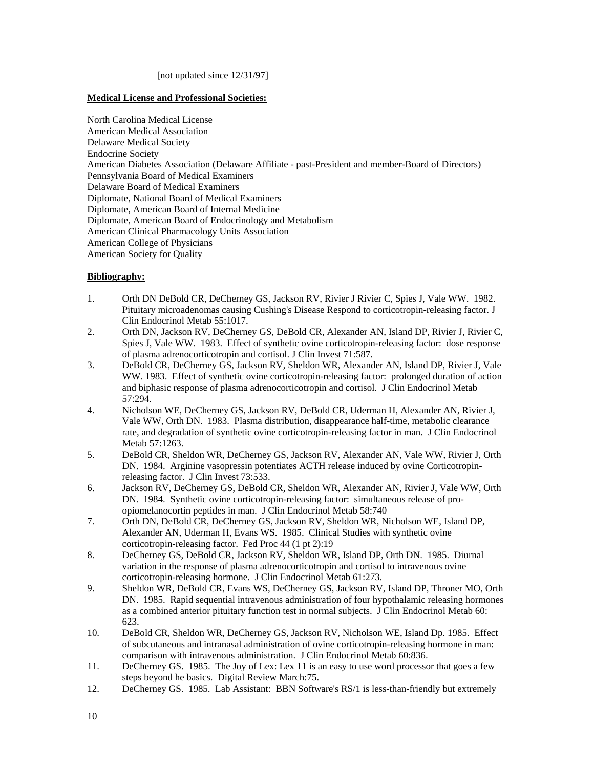[not updated since 12/31/97]

#### **Medical License and Professional Societies:**

North Carolina Medical License American Medical Association Delaware Medical Society Endocrine Society American Diabetes Association (Delaware Affiliate - past-President and member-Board of Directors) Pennsylvania Board of Medical Examiners Delaware Board of Medical Examiners Diplomate, National Board of Medical Examiners Diplomate, American Board of Internal Medicine Diplomate, American Board of Endocrinology and Metabolism American Clinical Pharmacology Units Association American College of Physicians American Society for Quality

#### **Bibliography:**

- 1. Orth DN DeBold CR, DeCherney GS, Jackson RV, Rivier J Rivier C, Spies J, Vale WW. 1982. Pituitary microadenomas causing Cushing's Disease Respond to corticotropin-releasing factor. J Clin Endocrinol Metab 55:1017.
- 2. Orth DN, Jackson RV, DeCherney GS, DeBold CR, Alexander AN, Island DP, Rivier J, Rivier C, Spies J, Vale WW. 1983. Effect of synthetic ovine corticotropin-releasing factor: dose response of plasma adrenocorticotropin and cortisol. J Clin Invest 71:587.
- 3. DeBold CR, DeCherney GS, Jackson RV, Sheldon WR, Alexander AN, Island DP, Rivier J, Vale WW. 1983. Effect of synthetic ovine corticotropin-releasing factor: prolonged duration of action and biphasic response of plasma adrenocorticotropin and cortisol. J Clin Endocrinol Metab 57:294.
- 4. Nicholson WE, DeCherney GS, Jackson RV, DeBold CR, Uderman H, Alexander AN, Rivier J, Vale WW, Orth DN. 1983. Plasma distribution, disappearance half-time, metabolic clearance rate, and degradation of synthetic ovine corticotropin-releasing factor in man. J Clin Endocrinol Metab 57:1263.
- 5. DeBold CR, Sheldon WR, DeCherney GS, Jackson RV, Alexander AN, Vale WW, Rivier J, Orth DN. 1984. Arginine vasopressin potentiates ACTH release induced by ovine Corticotropinreleasing factor. J Clin Invest 73:533.
- 6. Jackson RV, DeCherney GS, DeBold CR, Sheldon WR, Alexander AN, Rivier J, Vale WW, Orth DN. 1984. Synthetic ovine corticotropin-releasing factor: simultaneous release of proopiomelanocortin peptides in man. J Clin Endocrinol Metab 58:740
- 7. Orth DN, DeBold CR, DeCherney GS, Jackson RV, Sheldon WR, Nicholson WE, Island DP, Alexander AN, Uderman H, Evans WS. 1985. Clinical Studies with synthetic ovine corticotropin-releasing factor. Fed Proc 44 (1 pt 2):19
- 8. DeCherney GS, DeBold CR, Jackson RV, Sheldon WR, Island DP, Orth DN. 1985. Diurnal variation in the response of plasma adrenocorticotropin and cortisol to intravenous ovine corticotropin-releasing hormone. J Clin Endocrinol Metab 61:273.
- 9. Sheldon WR, DeBold CR, Evans WS, DeCherney GS, Jackson RV, Island DP, Throner MO, Orth DN. 1985. Rapid sequential intravenous administration of four hypothalamic releasing hormones as a combined anterior pituitary function test in normal subjects. J Clin Endocrinol Metab 60: 623.
- 10. DeBold CR, Sheldon WR, DeCherney GS, Jackson RV, Nicholson WE, Island Dp. 1985. Effect of subcutaneous and intranasal administration of ovine corticotropin-releasing hormone in man: comparison with intravenous administration. J Clin Endocrinol Metab 60:836.
- 11. DeCherney GS. 1985. The Joy of Lex: Lex 11 is an easy to use word processor that goes a few steps beyond he basics. Digital Review March:75.
- 12. DeCherney GS. 1985. Lab Assistant: BBN Software's RS/1 is less-than-friendly but extremely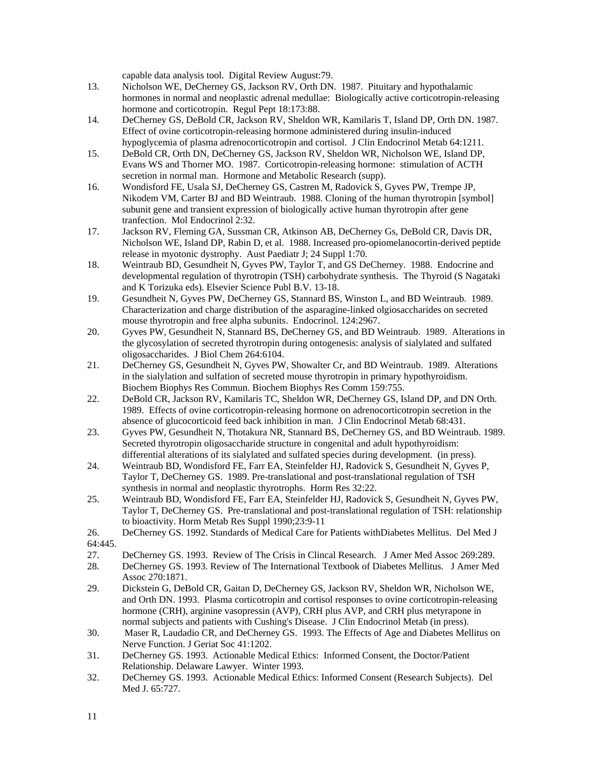capable data analysis tool. Digital Review August:79.

- 13. Nicholson WE, DeCherney GS, Jackson RV, Orth DN. 1987. Pituitary and hypothalamic hormones in normal and neoplastic adrenal medullae: Biologically active corticotropin-releasing hormone and corticotropin. Regul Pept 18:173:88.
- 14. DeCherney GS, DeBold CR, Jackson RV, Sheldon WR, Kamilaris T, Island DP, Orth DN. 1987. Effect of ovine corticotropin-releasing hormone administered during insulin-induced hypoglycemia of plasma adrenocorticotropin and cortisol. J Clin Endocrinol Metab 64:1211.
- 15. DeBold CR, Orth DN, DeCherney GS, Jackson RV, Sheldon WR, Nicholson WE, Island DP, Evans WS and Thorner MO. 1987. Corticotropin-releasing hormone: stimulation of ACTH secretion in normal man. Hormone and Metabolic Research (supp).
- 16. Wondisford FE, Usala SJ, DeCherney GS, Castren M, Radovick S, Gyves PW, Trempe JP, Nikodem VM, Carter BJ and BD Weintraub. 1988. Cloning of the human thyrotropin [symbol] subunit gene and transient expression of biologically active human thyrotropin after gene tranfection. Mol Endocrinol 2:32.
- 17. Jackson RV, Fleming GA, Sussman CR, Atkinson AB, DeCherney Gs, DeBold CR, Davis DR, Nicholson WE, Island DP, Rabin D, et al. 1988. Increased pro-opiomelanocortin-derived peptide release in myotonic dystrophy. Aust Paediatr J; 24 Suppl 1:70.
- 18. Weintraub BD, Gesundheit N, Gyves PW, Taylor T, and GS DeCherney. 1988. Endocrine and developmental regulation of thyrotropin (TSH) carbohydrate synthesis. The Thyroid (S Nagataki and K Torizuka eds). Elsevier Science Publ B.V. 13-18.
- 19. Gesundheit N, Gyves PW, DeCherney GS, Stannard BS, Winston L, and BD Weintraub. 1989. Characterization and charge distribution of the asparagine-linked olgiosaccharides on secreted mouse thyrotropin and free alpha subunits. Endocrinol. 124:2967.
- 20. Gyves PW, Gesundheit N, Stannard BS, DeCherney GS, and BD Weintraub. 1989. Alterations in the glycosylation of secreted thyrotropin during ontogenesis: analysis of sialylated and sulfated oligosaccharides. J Biol Chem 264:6104.
- 21. DeCherney GS, Gesundheit N, Gyves PW, Showalter Cr, and BD Weintraub. 1989. Alterations in the sialylation and sulfation of secreted mouse thyrotropin in primary hypothyroidism. Biochem Biophys Res Commun. Biochem Biophys Res Comm 159:755.
- 22. DeBold CR, Jackson RV, Kamilaris TC, Sheldon WR, DeCherney GS, Island DP, and DN Orth. 1989. Effects of ovine corticotropin-releasing hormone on adrenocorticotropin secretion in the absence of glucocorticoid feed back inhibition in man. J Clin Endocrinol Metab 68:431.
- 23. Gyves PW, Gesundheit N, Thotakura NR, Stannard BS, DeCherney GS, and BD Weintraub. 1989. Secreted thyrotropin oligosaccharide structure in congenital and adult hypothyroidism: differential alterations of its sialylated and sulfated species during development. (in press).
- 24. Weintraub BD, Wondisford FE, Farr EA, Steinfelder HJ, Radovick S, Gesundheit N, Gyves P, Taylor T, DeCherney GS. 1989. Pre-translational and post-translational regulation of TSH synthesis in normal and neoplastic thyrotrophs. Horm Res 32:22.
- 25. Weintraub BD, Wondisford FE, Farr EA, Steinfelder HJ, Radovick S, Gesundheit N, Gyves PW, Taylor T, DeCherney GS. Pre-translational and post-translational regulation of TSH: relationship to bioactivity. Horm Metab Res Suppl 1990;23:9-11
- 26. DeCherney GS. 1992. Standards of Medical Care for Patients withDiabetes Mellitus. Del Med J 64:445.
- 27. DeCherney GS. 1993. Review of The Crisis in Clincal Research. J Amer Med Assoc 269:289.
- 28. DeCherney GS. 1993. Review of The International Textbook of Diabetes Mellitus. J Amer Med Assoc 270:1871.
- 29. Dickstein G, DeBold CR, Gaitan D, DeCherney GS, Jackson RV, Sheldon WR, Nicholson WE, and Orth DN. 1993. Plasma corticotropin and cortisol responses to ovine corticotropin-releasing hormone (CRH), arginine vasopressin (AVP), CRH plus AVP, and CRH plus metyrapone in normal subjects and patients with Cushing's Disease. J Clin Endocrinol Metab (in press).
- 30. Maser R, Laudadio CR, and DeCherney GS. 1993. The Effects of Age and Diabetes Mellitus on Nerve Function. J Geriat Soc 41:1202.
- 31. DeCherney GS. 1993. Actionable Medical Ethics: Informed Consent, the Doctor/Patient Relationship. Delaware Lawyer. Winter 1993.
- 32. DeCherney GS. 1993. Actionable Medical Ethics: Informed Consent (Research Subjects). Del Med J. 65:727.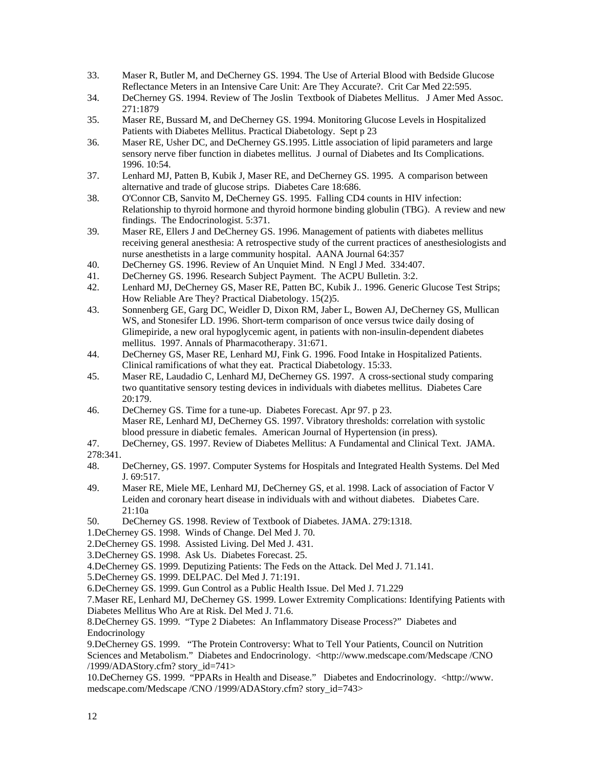- 33. Maser R, Butler M, and DeCherney GS. 1994. The Use of Arterial Blood with Bedside Glucose Reflectance Meters in an Intensive Care Unit: Are They Accurate?. Crit Car Med 22:595.
- 34. DeCherney GS. 1994. Review of The Joslin Textbook of Diabetes Mellitus. J Amer Med Assoc. 271:1879
- 35. Maser RE, Bussard M, and DeCherney GS. 1994. Monitoring Glucose Levels in Hospitalized Patients with Diabetes Mellitus. Practical Diabetology. Sept p 23
- 36. Maser RE, Usher DC, and DeCherney GS.1995. Little association of lipid parameters and large sensory nerve fiber function in diabetes mellitus. J ournal of Diabetes and Its Complications. 1996. 10:54.
- 37. Lenhard MJ, Patten B, Kubik J, Maser RE, and DeCherney GS. 1995. A comparison between alternative and trade of glucose strips. Diabetes Care 18:686.
- 38. O'Connor CB, Sanvito M, DeCherney GS. 1995. Falling CD4 counts in HIV infection: Relationship to thyroid hormone and thyroid hormone binding globulin (TBG). A review and new findings. The Endocrinologist. 5:371.
- 39. Maser RE, Ellers J and DeCherney GS. 1996. Management of patients with diabetes mellitus receiving general anesthesia: A retrospective study of the current practices of anesthesiologists and nurse anesthetists in a large community hospital. AANA Journal 64:357
- 40. DeCherney GS. 1996. Review of An Unquiet Mind. N Engl J Med. 334:407.
- 41. DeCherney GS. 1996. Research Subject Payment. The ACPU Bulletin. 3:2.
- 42. Lenhard MJ, DeCherney GS, Maser RE, Patten BC, Kubik J.. 1996. Generic Glucose Test Strips; How Reliable Are They? Practical Diabetology. 15(2)5.
- 43. Sonnenberg GE, Garg DC, Weidler D, Dixon RM, Jaber L, Bowen AJ, DeCherney GS, Mullican WS, and Stonesifer LD. 1996. Short-term comparison of once versus twice daily dosing of Glimepiride, a new oral hypoglycemic agent, in patients with non-insulin-dependent diabetes mellitus. 1997. Annals of Pharmacotherapy. 31:671.
- 44. DeCherney GS, Maser RE, Lenhard MJ, Fink G. 1996. Food Intake in Hospitalized Patients. Clinical ramifications of what they eat. Practical Diabetology. 15:33.
- 45. Maser RE, Laudadio C, Lenhard MJ, DeCherney GS. 1997. A cross-sectional study comparing two quantitative sensory testing devices in individuals with diabetes mellitus. Diabetes Care 20:179.
- 46. DeCherney GS. Time for a tune-up. Diabetes Forecast. Apr 97. p 23. Maser RE, Lenhard MJ, DeCherney GS. 1997. Vibratory thresholds: correlation with systolic blood pressure in diabetic females. American Journal of Hypertension (in press).
- 47. DeCherney, GS. 1997. Review of Diabetes Mellitus: A Fundamental and Clinical Text. JAMA. 278:341.
- 48. DeCherney, GS. 1997. Computer Systems for Hospitals and Integrated Health Systems. Del Med J. 69:517.
- 49. Maser RE, Miele ME, Lenhard MJ, DeCherney GS, et al. 1998. Lack of association of Factor V Leiden and coronary heart disease in individuals with and without diabetes. Diabetes Care. 21:10a
- 50. DeCherney GS. 1998. Review of Textbook of Diabetes. JAMA. 279:1318.
- 1.DeCherney GS. 1998. Winds of Change. Del Med J. 70.
- 2.DeCherney GS. 1998. Assisted Living. Del Med J. 431.
- 3.DeCherney GS. 1998. Ask Us. Diabetes Forecast. 25.
- 4.DeCherney GS. 1999. Deputizing Patients: The Feds on the Attack. Del Med J. 71.141.
- 5.DeCherney GS. 1999. DELPAC. Del Med J. 71:191.

6.DeCherney GS. 1999. Gun Control as a Public Health Issue. Del Med J. 71.229

7.Maser RE, Lenhard MJ, DeCherney GS. 1999. Lower Extremity Complications: Identifying Patients with Diabetes Mellitus Who Are at Risk. Del Med J. 71.6.

8.DeCherney GS. 1999. "Type 2 Diabetes: An Inflammatory Disease Process?" Diabetes and Endocrinology

9.DeCherney GS. 1999. "The Protein Controversy: What to Tell Your Patients, Council on Nutrition Sciences and Metabolism." Diabetes and Endocrinology. <http://www.medscape.com/Medscape /CNO /1999/ADAStory.cfm? story\_id=741>

10.DeCherney GS. 1999. "PPARs in Health and Disease." Diabetes and Endocrinology. <http://www. medscape.com/Medscape /CNO /1999/ADAStory.cfm? story\_id=743>